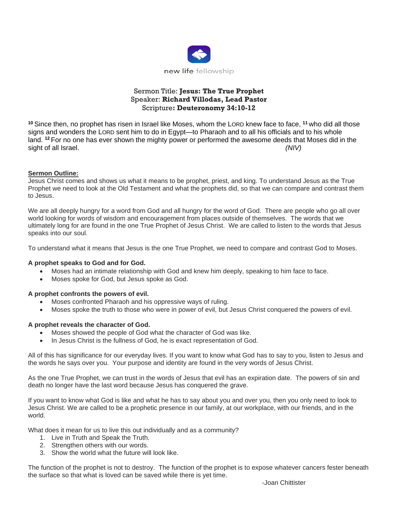

# Sermon Title: **Jesus: The True Prophet** Speaker: **Richard Villodas, Lead Pastor** Scripture**: Deuteronomy 34:10-12**

**<sup>10</sup>** Since then, no prophet has risen in Israel like Moses, whom the LORD knew face to face, **<sup>11</sup>** who did all those signs and wonders the LORD sent him to do in Egypt—to Pharaoh and to all his officials and to his whole land. **<sup>12</sup>** For no one has ever shown the mighty power or performed the awesome deeds that Moses did in the sight of all Israel. *(NIV)*

## **Sermon Outline:**

Jesus Christ comes and shows us what it means to be prophet, priest, and king. To understand Jesus as the True Prophet we need to look at the Old Testament and what the prophets did, so that we can compare and contrast them to Jesus.

We are all deeply hungry for a word from God and all hungry for the word of God. There are people who go all over world looking for words of wisdom and encouragement from places outside of themselves. The words that we ultimately long for are found in the one True Prophet of Jesus Christ. We are called to listen to the words that Jesus speaks into our soul.

To understand what it means that Jesus is the one True Prophet, we need to compare and contrast God to Moses.

## **A prophet speaks to God and for God.**

- Moses had an intimate relationship with God and knew him deeply, speaking to him face to face.
- Moses spoke for God, but Jesus spoke as God.

## **A prophet confronts the powers of evil.**

- Moses confronted Pharaoh and his oppressive ways of ruling.
- Moses spoke the truth to those who were in power of evil, but Jesus Christ conquered the powers of evil.

#### **A prophet reveals the character of God.**

- Moses showed the people of God what the character of God was like.
- In Jesus Christ is the fullness of God, he is exact representation of God.

All of this has significance for our everyday lives. If you want to know what God has to say to you, listen to Jesus and the words he says over you. Your purpose and identity are found in the very words of Jesus Christ.

As the one True Prophet, we can trust in the words of Jesus that evil has an expiration date. The powers of sin and death no longer have the last word because Jesus has conquered the grave.

If you want to know what God is like and what he has to say about you and over you, then you only need to look to Jesus Christ. We are called to be a prophetic presence in our family, at our workplace, with our friends, and in the world.

What does it mean for us to live this out individually and as a community?

- 1. Live in Truth and Speak the Truth.
- 2. Strengthen others with our words.
- 3. Show the world what the future will look like.

The function of the prophet is not to destroy. The function of the prophet is to expose whatever cancers fester beneath the surface so that what is loved can be saved while there is yet time.